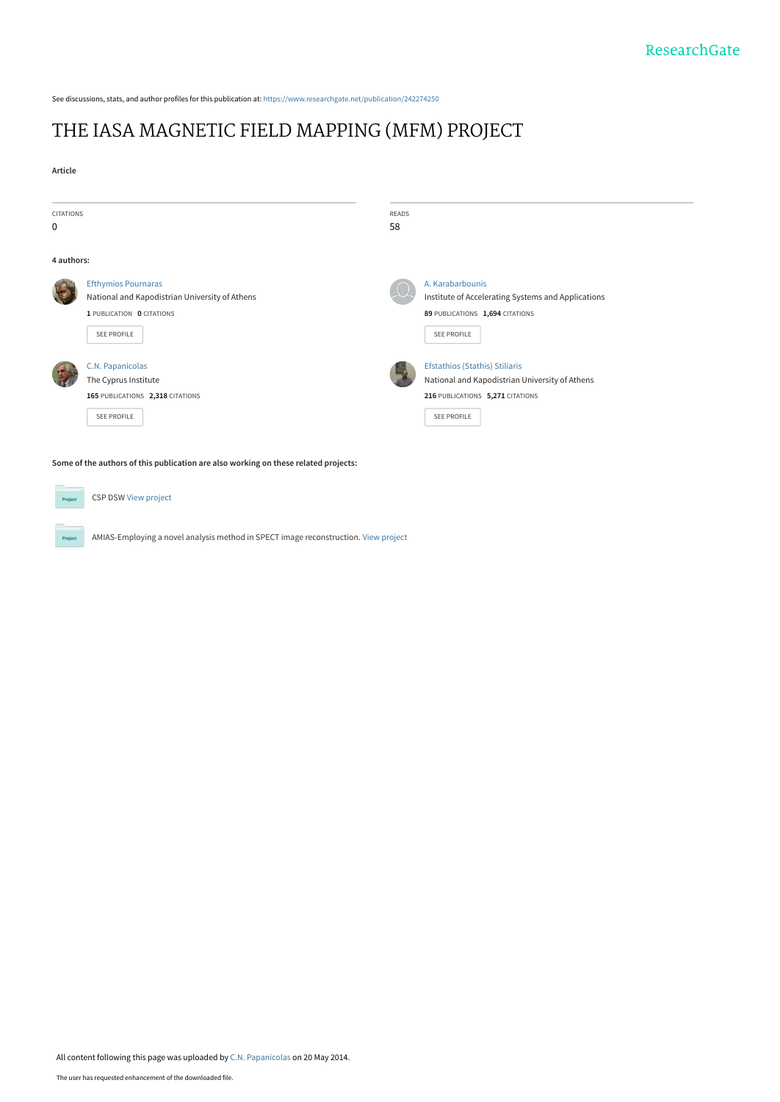See discussions, stats, and author profiles for this publication at: [https://www.researchgate.net/publication/242274250](https://www.researchgate.net/publication/242274250_THE_IASA_MAGNETIC_FIELD_MAPPING_MFM_PROJECT?enrichId=rgreq-32455a4e886d74bdd080c33733c1bf19-XXX&enrichSource=Y292ZXJQYWdlOzI0MjI3NDI1MDtBUzo5ODg4MDkwNTU0Nzc4NkAxNDAwNTg2NDU0NDk1&el=1_x_2&_esc=publicationCoverPdf)

# [THE IASA MAGNETIC FIELD MAPPING \(MFM\) PROJECT](https://www.researchgate.net/publication/242274250_THE_IASA_MAGNETIC_FIELD_MAPPING_MFM_PROJECT?enrichId=rgreq-32455a4e886d74bdd080c33733c1bf19-XXX&enrichSource=Y292ZXJQYWdlOzI0MjI3NDI1MDtBUzo5ODg4MDkwNTU0Nzc4NkAxNDAwNTg2NDU0NDk1&el=1_x_3&_esc=publicationCoverPdf)

| <b>CITATIONS</b><br>0 |                                                                                                                                 | READS<br>58 |                                                                                                                                                   |  |
|-----------------------|---------------------------------------------------------------------------------------------------------------------------------|-------------|---------------------------------------------------------------------------------------------------------------------------------------------------|--|
| 4 authors:            |                                                                                                                                 |             |                                                                                                                                                   |  |
|                       | <b>Efthymios Pournaras</b><br>National and Kapodistrian University of Athens<br>1 PUBLICATION 0 CITATIONS<br><b>SEE PROFILE</b> |             | A. Karabarbounis<br>Institute of Accelerating Systems and Applications<br>89 PUBLICATIONS 1,694 CITATIONS<br>SEE PROFILE                          |  |
|                       | C.N. Papanicolas<br>The Cyprus Institute<br>165 PUBLICATIONS 2,318 CITATIONS<br><b>SEE PROFILE</b>                              |             | <b>Efstathios (Stathis) Stiliaris</b><br>National and Kapodistrian University of Athens<br>216 PUBLICATIONS 5,271 CITATIONS<br><b>SEE PROFILE</b> |  |

**Some of the authors of this publication are also working on these related projects:**

**Project** 

**Project** 

CSP DSW [View project](https://www.researchgate.net/project/CSP-DSW?enrichId=rgreq-32455a4e886d74bdd080c33733c1bf19-XXX&enrichSource=Y292ZXJQYWdlOzI0MjI3NDI1MDtBUzo5ODg4MDkwNTU0Nzc4NkAxNDAwNTg2NDU0NDk1&el=1_x_9&_esc=publicationCoverPdf)

AMIAS-Employing a novel analysis method in SPECT image reconstruction. [View project](https://www.researchgate.net/project/AMIAS-Employing-a-novel-analysis-method-in-SPECT-image-reconstruction?enrichId=rgreq-32455a4e886d74bdd080c33733c1bf19-XXX&enrichSource=Y292ZXJQYWdlOzI0MjI3NDI1MDtBUzo5ODg4MDkwNTU0Nzc4NkAxNDAwNTg2NDU0NDk1&el=1_x_9&_esc=publicationCoverPdf)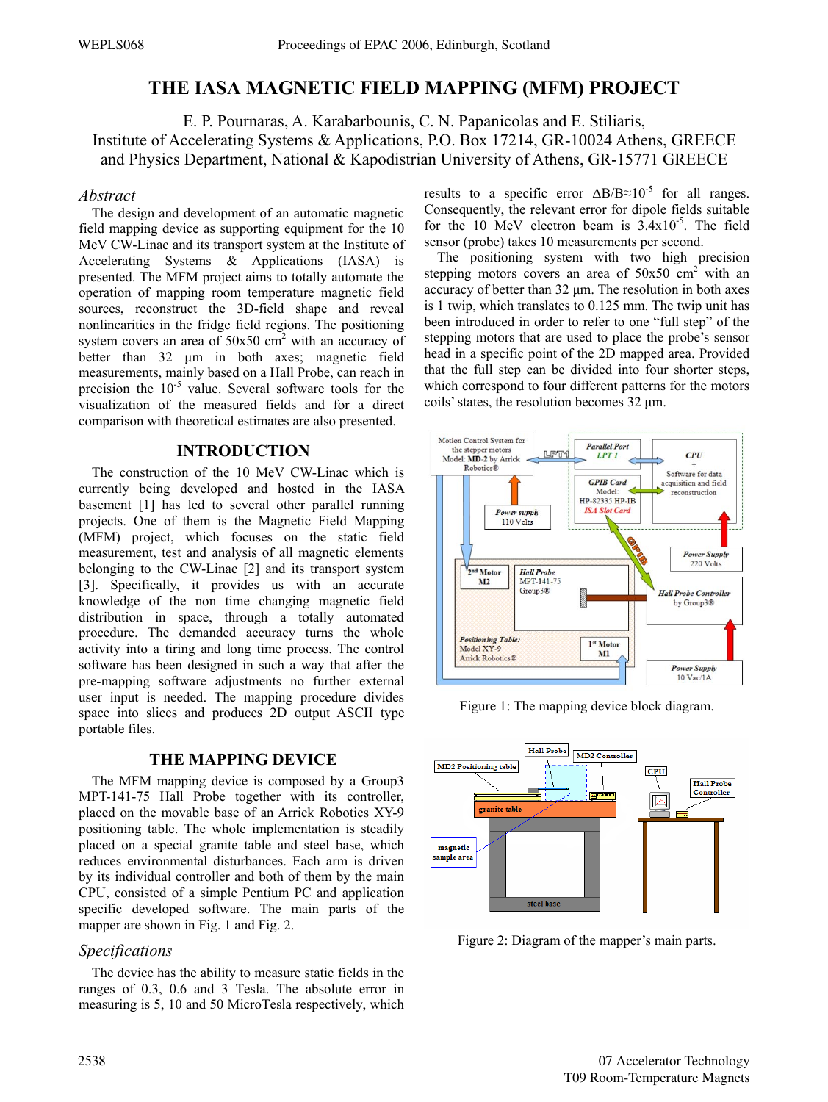## **THE IASA MAGNETIC FIELD MAPPING (MFM) PROJECT**

E. P. Pournaras, A. Karabarbounis, C. N. Papanicolas and E. Stiliaris, Institute of Accelerating Systems & Applications, P.O. Box 17214, GR-10024 Athens, GREECE and Physics Department, National & Kapodistrian University of Athens, GR-15771 GREECE

#### *Abstract*

The design and development of an automatic magnetic field mapping device as supporting equipment for the 10 MeV CW-Linac and its transport system at the Institute of Accelerating Systems & Applications (IASA) is presented. The MFM project aims to totally automate the operation of mapping room temperature magnetic field sources, reconstruct the 3D-field shape and reveal nonlinearities in the fridge field regions. The positioning system covers an area of  $50x50$  cm<sup>2</sup> with an accuracy of better than 32 μm in both axes; magnetic field measurements, mainly based on a Hall Probe, can reach in precision the  $10^{-5}$  value. Several software tools for the visualization of the measured fields and for a direct comparison with theoretical estimates are also presented.

### **INTRODUCTION**

The construction of the 10 MeV CW-Linac which is currently being developed and hosted in the IASA basement [1] has led to several other parallel running projects. One of them is the Magnetic Field Mapping (MFM) project, which focuses on the static field measurement, test and analysis of all magnetic elements belonging to the CW-Linac [2] and its transport system [3]. Specifically, it provides us with an accurate knowledge of the non time changing magnetic field distribution in space, through a totally automated procedure. The demanded accuracy turns the whole activity into a tiring and long time process. The control software has been designed in such a way that after the pre-mapping software adjustments no further external user input is needed. The mapping procedure divides space into slices and produces 2D output ASCII type portable files.

### **THE MAPPING DEVICE**

The MFM mapping device is composed by a Group3 MPT-141-75 Hall Probe together with its controller, placed on the movable base of an Arrick Robotics XY-9 positioning table. The whole implementation is steadily placed on a special granite table and steel base, which reduces environmental disturbances. Each arm is driven by its individual controller and both of them by the main CPU, consisted of a simple Pentium PC and application specific developed software. The main parts of the mapper are shown in Fig. 1 and Fig. 2.

#### *Specifications*

The device has the ability to measure static fields in the ranges of 0.3, 0.6 and 3 Tesla. The absolute error in measuring is 5, 10 and 50 MicroTesla respectively, which results to a specific error  $\Delta B/B \approx 10^{-5}$  for all ranges. Consequently, the relevant error for dipole fields suitable for the 10 MeV electron beam is  $3.4x10^{-5}$ . The field sensor (probe) takes 10 measurements per second.

The positioning system with two high precision stepping motors covers an area of  $50x50$  cm<sup>2</sup> with an accuracy of better than 32 μm. The resolution in both axes is 1 twip, which translates to 0.125 mm. The twip unit has been introduced in order to refer to one "full step" of the stepping motors that are used to place the probe's sensor head in a specific point of the 2D mapped area. Provided that the full step can be divided into four shorter steps, which correspond to four different patterns for the motors coils' states, the resolution becomes 32 μm.



Figure 1: The mapping device block diagram.



Figure 2: Diagram of the mapper's main parts.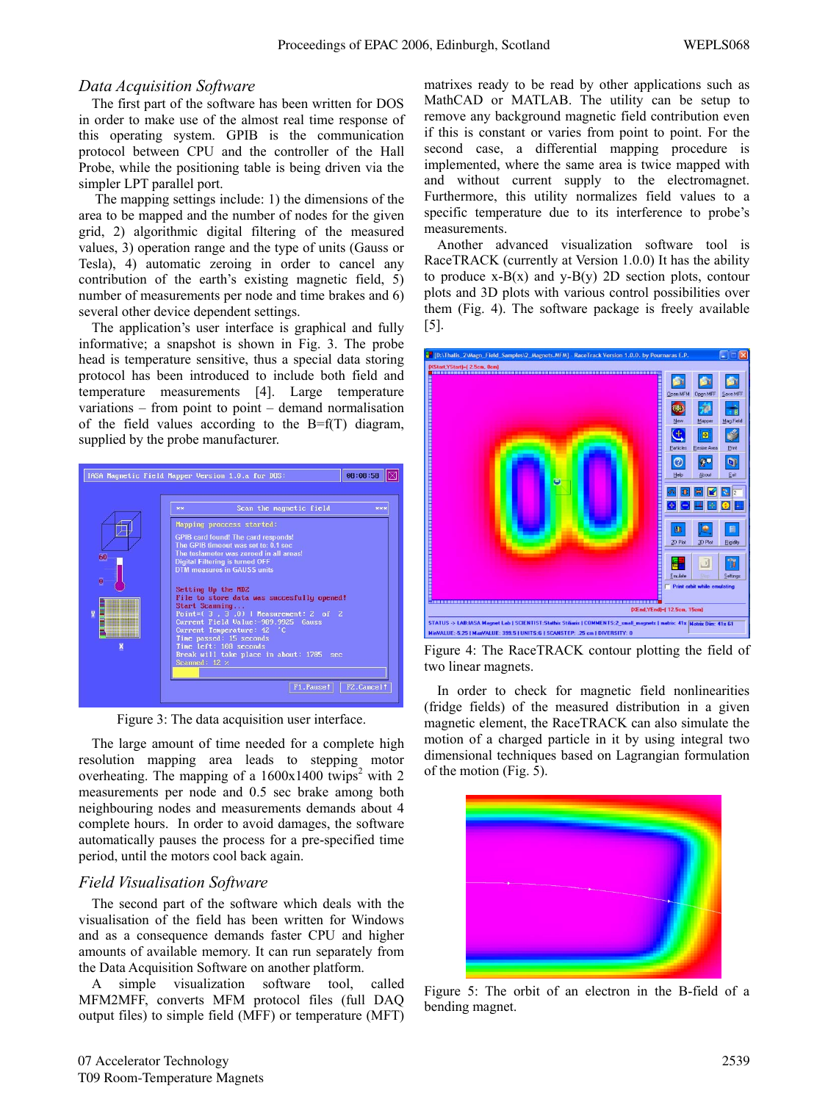#### *Data Acquisition Software*

The first part of the software has been written for DOS in order to make use of the almost real time response of this operating system. GPIB is the communication protocol between CPU and the controller of the Hall Probe, while the positioning table is being driven via the simpler LPT parallel port.

 The mapping settings include: 1) the dimensions of the area to be mapped and the number of nodes for the given grid, 2) algorithmic digital filtering of the measured values, 3) operation range and the type of units (Gauss or Tesla), 4) automatic zeroing in order to cancel any contribution of the earth's existing magnetic field, 5) number of measurements per node and time brakes and 6) several other device dependent settings.

The application's user interface is graphical and fully informative; a snapshot is shown in Fig. 3. The probe head is temperature sensitive, thus a special data storing protocol has been introduced to include both field and temperature measurements [4]. Large temperature variations – from point to point – demand normalisation of the field values according to the  $B=f(T)$  diagram, supplied by the probe manufacturer.



Figure 3: The data acquisition user interface.

The large amount of time needed for a complete high resolution mapping area leads to stepping motor overheating. The mapping of a  $1600x1400$  twips<sup>2</sup> with 2 measurements per node and 0.5 sec brake among both neighbouring nodes and measurements demands about 4 complete hours. In order to avoid damages, the software automatically pauses the process for a pre-specified time period, until the motors cool back again.

#### *Field Visualisation Software*

The second part of the software which deals with the visualisation of the field has been written for Windows and as a consequence demands faster CPU and higher amounts of available memory. It can run separately from the Data Acquisition Software on another platform.

A simple visualization software tool, called MFM2MFF, converts MFM protocol files (full DAQ output files) to simple field (MFF) or temperature (MFT) matrixes ready to be read by other applications such as MathCAD or MATLAB. The utility can be setup to remove any background magnetic field contribution even if this is constant or varies from point to point. For the second case, a differential mapping procedure is implemented, where the same area is twice mapped with and without current supply to the electromagnet. Furthermore, this utility normalizes field values to a specific temperature due to its interference to probe's measurements.

Another advanced visualization software tool is RaceTRACK (currently at Version 1.0.0) It has the ability to produce  $x-B(x)$  and  $y-B(y)$  2D section plots, contour plots and 3D plots with various control possibilities over them (Fig. 4). The software package is freely available [5].



Figure 4: The RaceTRACK contour plotting the field of two linear magnets.

In order to check for magnetic field nonlinearities (fridge fields) of the measured distribution in a given magnetic element, the RaceTRACK can also simulate the motion of a charged particle in it by using integral two dimensional techniques based on Lagrangian formulation of the motion (Fig. 5).



Figure 5: The orbit of an electron in the B-field of a bending magnet.